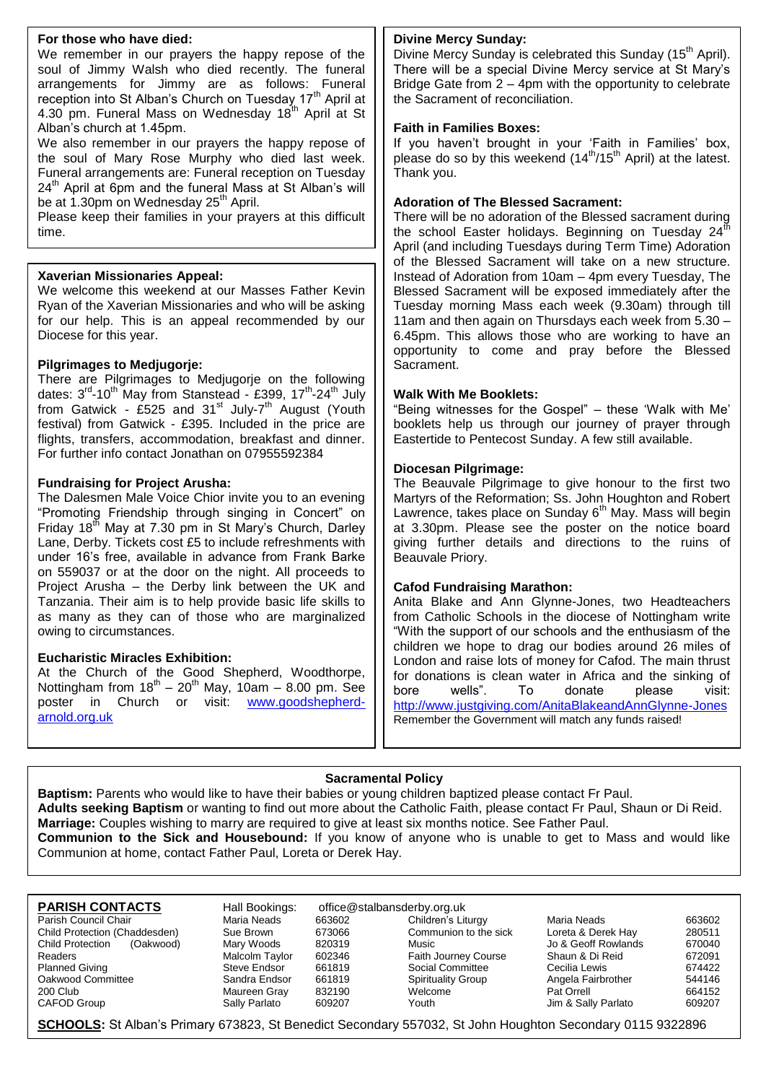#### **For those who have died:**

We remember in our prayers the happy repose of the soul of Jimmy Walsh who died recently. The funeral arrangements for Jimmy are as follows: Funeral reception into St Alban's Church on Tuesday 17<sup>th</sup> April at 4.30 pm. Funeral Mass on Wednesday 18th April at St Alban's church at 1.45pm.

We also remember in our prayers the happy repose of the soul of Mary Rose Murphy who died last week. Funeral arrangements are: Funeral reception on Tuesday  $24<sup>th</sup>$  April at 6pm and the funeral Mass at St Alban's will be at 1.30pm on Wednesday  $25<sup>th</sup>$  April.

Please keep their families in your prayers at this difficult time.

#### **Xaverian Missionaries Appeal:**

We welcome this weekend at our Masses Father Kevin Ryan of the Xaverian Missionaries and who will be asking for our help. This is an appeal recommended by our Diocese for this year.

#### **Pilgrimages to Medjugorje:**

There are Pilgrimages to Medjugorje on the following dates: 3<sup>rd</sup>-10<sup>th</sup> May from Stanstead - £399, 17<sup>th</sup>-24<sup>th</sup> July from Gatwick - £525 and 31<sup>st</sup> July-7<sup>th</sup> August (Youth festival) from Gatwick - £395. Included in the price are flights, transfers, accommodation, breakfast and dinner. For further info contact Jonathan on 07955592384

#### **Fundraising for Project Arusha:**

The Dalesmen Male Voice Chior invite you to an evening "Promoting Friendship through singing in Concert" on Friday 18<sup>th</sup> May at 7.30 pm in St Mary's Church, Darley Lane, Derby. Tickets cost £5 to include refreshments with under 16's free, available in advance from Frank Barke on 559037 or at the door on the night. All proceeds to Project Arusha – the Derby link between the UK and Tanzania. Their aim is to help provide basic life skills to as many as they can of those who are marginalized owing to circumstances.

#### **Eucharistic Miracles Exhibition:**

At the Church of the Good Shepherd, Woodthorpe, Nottingham from  $18<sup>th</sup> - 20<sup>th</sup>$  May, 10am - 8.00 pm. See poster in Church or visit: [www.goodshepherd](http://www.goodshepherd-arnold.org.uk/)[arnold.org.uk](http://www.goodshepherd-arnold.org.uk/)

#### **Divine Mercy Sunday:**

Divine Mercy Sunday is celebrated this Sunday (15<sup>th</sup> April). There will be a special Divine Mercy service at St Mary's Bridge Gate from 2 – 4pm with the opportunity to celebrate the Sacrament of reconciliation.

#### **Faith in Families Boxes:**

If you haven't brought in your 'Faith in Families' box, please do so by this weekend  $(14^{th}/15^{th})$  April) at the latest. Thank you.

#### **Adoration of The Blessed Sacrament:**

There will be no adoration of the Blessed sacrament during the school Easter holidays. Beginning on Tuesday  $24<sup>1</sup>$ April (and including Tuesdays during Term Time) Adoration of the Blessed Sacrament will take on a new structure. Instead of Adoration from 10am – 4pm every Tuesday, The Blessed Sacrament will be exposed immediately after the Tuesday morning Mass each week (9.30am) through till 11am and then again on Thursdays each week from 5.30 – 6.45pm. This allows those who are working to have an opportunity to come and pray before the Blessed Sacrament.

#### **Walk With Me Booklets:**

"Being witnesses for the Gospel" – these 'Walk with Me' booklets help us through our journey of prayer through Eastertide to Pentecost Sunday. A few still available.

#### **Diocesan Pilgrimage:**

The Beauvale Pilgrimage to give honour to the first two Martyrs of the Reformation; Ss. John Houghton and Robert Lawrence, takes place on Sunday 6<sup>th</sup> May. Mass will begin at 3.30pm. Please see the poster on the notice board giving further details and directions to the ruins of Beauvale Priory.

#### **Cafod Fundraising Marathon:**

Anita Blake and Ann Glynne-Jones, two Headteachers from Catholic Schools in the diocese of Nottingham write "With the support of our schools and the enthusiasm of the children we hope to drag our bodies around 26 miles of London and raise lots of money for Cafod. The main thrust for donations is clean water in Africa and the sinking of bore wells". To donate please visit: <http://www.justgiving.com/AnitaBlakeandAnnGlynne-Jones> Remember the Government will match any funds raised!

#### **Sacramental Policy**

**Baptism:** Parents who would like to have their babies or young children baptized please contact Fr Paul. **Adults seeking Baptism** or wanting to find out more about the Catholic Faith, please contact Fr Paul, Shaun or Di Reid. **Marriage:** Couples wishing to marry are required to give at least six months notice. See Father Paul. **Communion to the Sick and Housebound:** If you know of anyone who is unable to get to Mass and would like Communion at home, contact Father Paul, Loreta or Derek Hay.

- Child Protection (Chaddesden) Sue Brown 673066 Communion to the sick Child Protection (Oakwood) Mary Woods 820319 Music Jo & Geoff Rowlands 670040 Readers Malcolm Taylor 602346 Faith Journey Course Shaun & Di Reid 672091<br>Planned Giving Course Steve Endsor 661819 Social Committee Cecilia Lewis 674422 Planned Giving Steve Endsor 661819 Social Committee Cecilia Lewis 674422<br>Cakwood Committee Sandra Endsor 661819 Spirituality Group Angela Fairbrother 544146 200 Club Club Maureen Gray 832190 Welcome Pat Orrell 664152 CAFOD Group CAFOD Group Sally Parlato 609207 Youth Jim & Sally Parlato 609207
- **PARISH CONTACTS** Hall Bookings: office@stalbansderby.org.uk<br>
Parish Council Chair Maria Neads 663602 Children's Liturgy

Sandra Endsor 661819 Spirituality Group Angela Fairbrother

Parish Council Chair **Chair Maria Neads** 663602 Children's Liturgy Maria Neads 663602<br>Child Protection (Chaddesden) Sue Brown 673066 Communion to the sick Loreta & Derek Hay 280511

**SCHOOLS:** St Alban's Primary 673823, St Benedict Secondary 557032, St John Houghton Secondary 0115 9322896